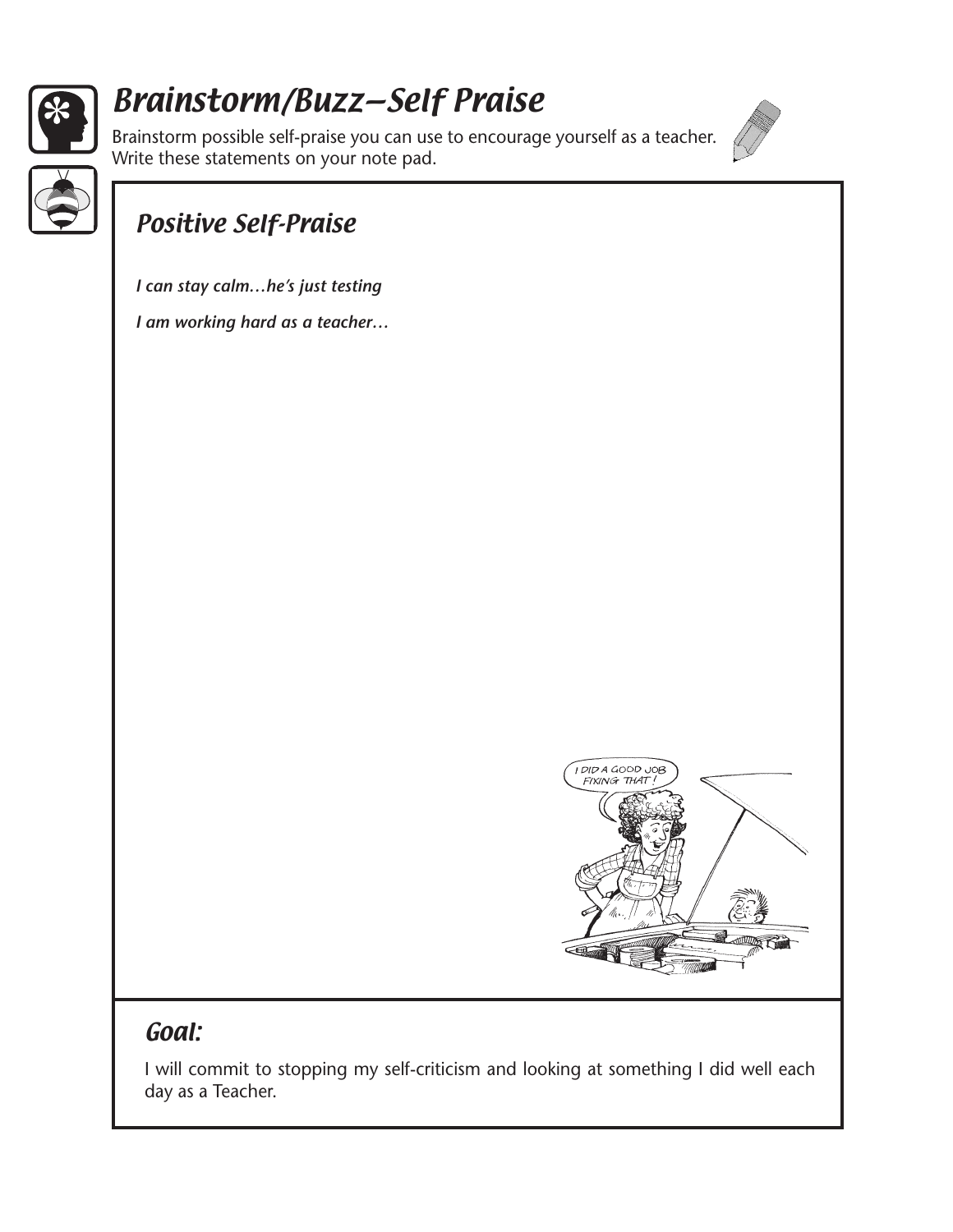

# Brainstorm/Buzz—Self Praise

Brainstorm possible self-praise you can use to encourage yourself as a teacher. Write these statements on your note pad.





## Positive Self-Praise

*I can stay calm…he's just testing*

*I am working hard as a teacher…*



### Goal:

I will commit to stopping my self-criticism and looking at something I did well each day as a Teacher.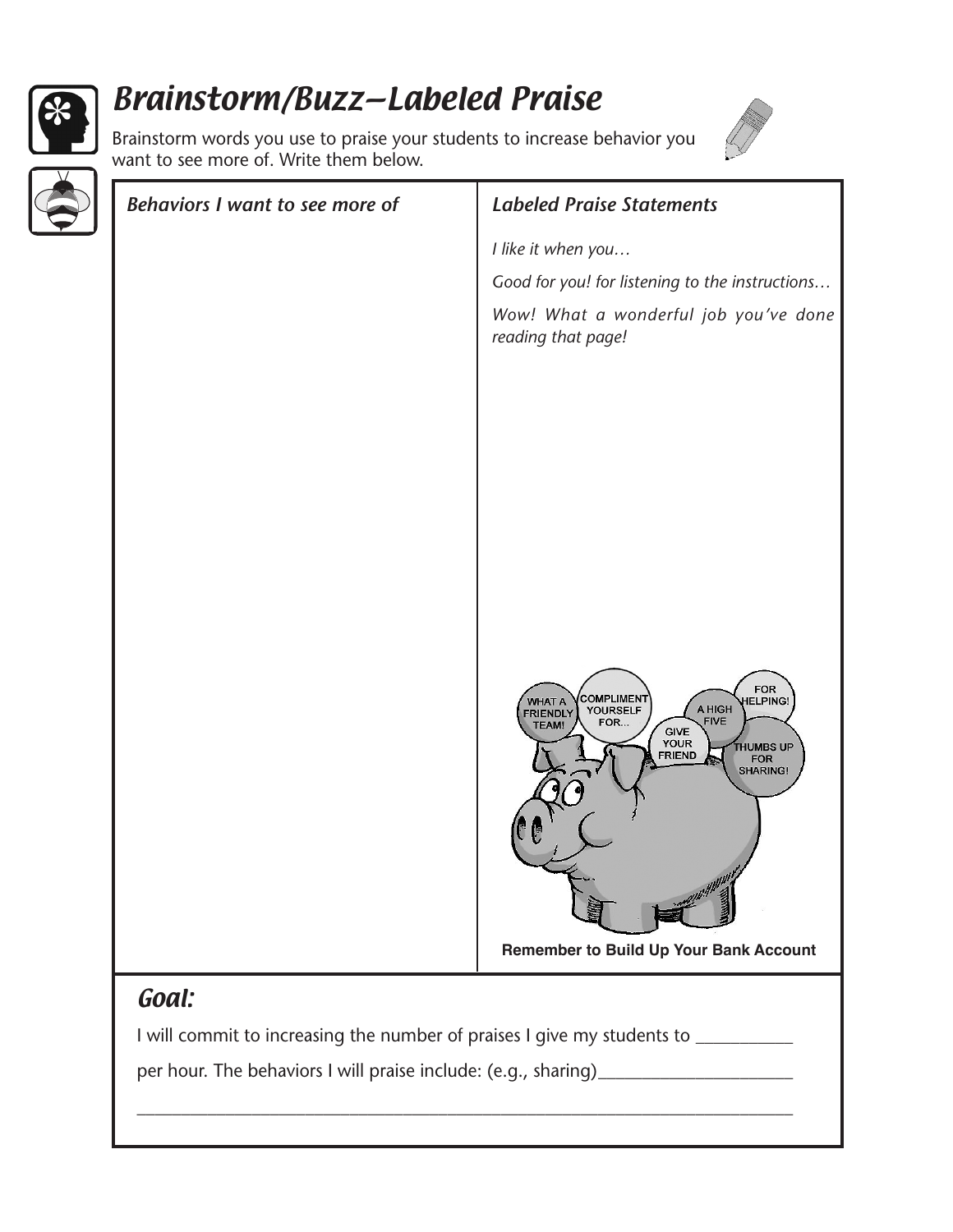

# Brainstorm/Buzz—Labeled Praise

Brainstorm words you use to praise your students to increase behavior you want to see more of. Write them below.



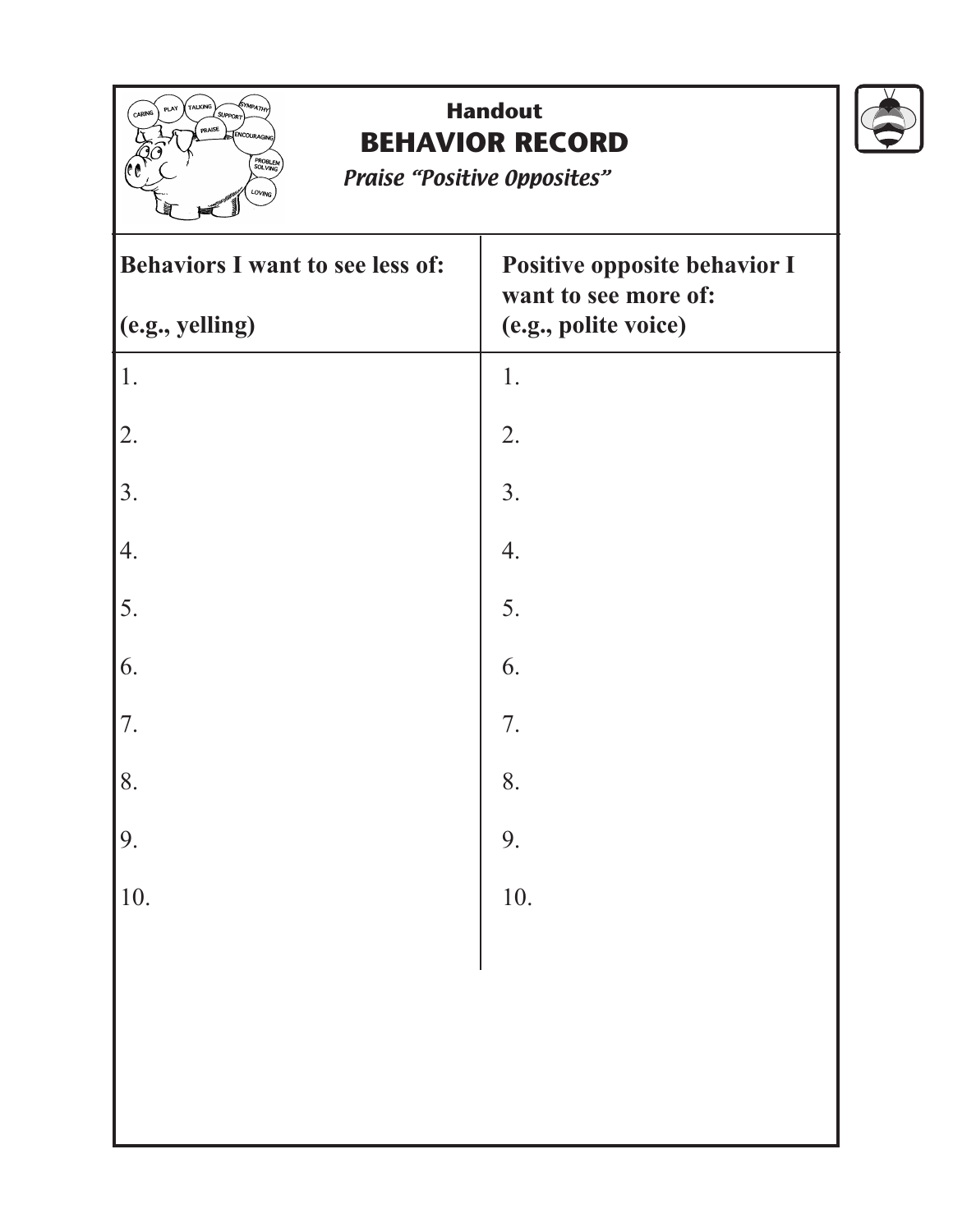

## **Handout BEHAVIOR RECORD**

Praise "Positive Opposites"

| Behaviors I want to see less of: | Positive opposite behavior I<br>want to see more of: |
|----------------------------------|------------------------------------------------------|
| (c.g., yelling)                  | (e.g., polite voice)                                 |
| 1.                               | 1.                                                   |
| 2.                               | 2.                                                   |
| 3.                               | 3.                                                   |
| $\vert 4.$                       | 4.                                                   |
| 5.                               | 5.                                                   |
| 6.                               | 6.                                                   |
| 7.                               | 7.                                                   |
| 8.                               | 8.                                                   |
| 9.                               | 9.                                                   |
| 10.                              | 10.                                                  |
|                                  |                                                      |
|                                  |                                                      |
|                                  |                                                      |
|                                  |                                                      |

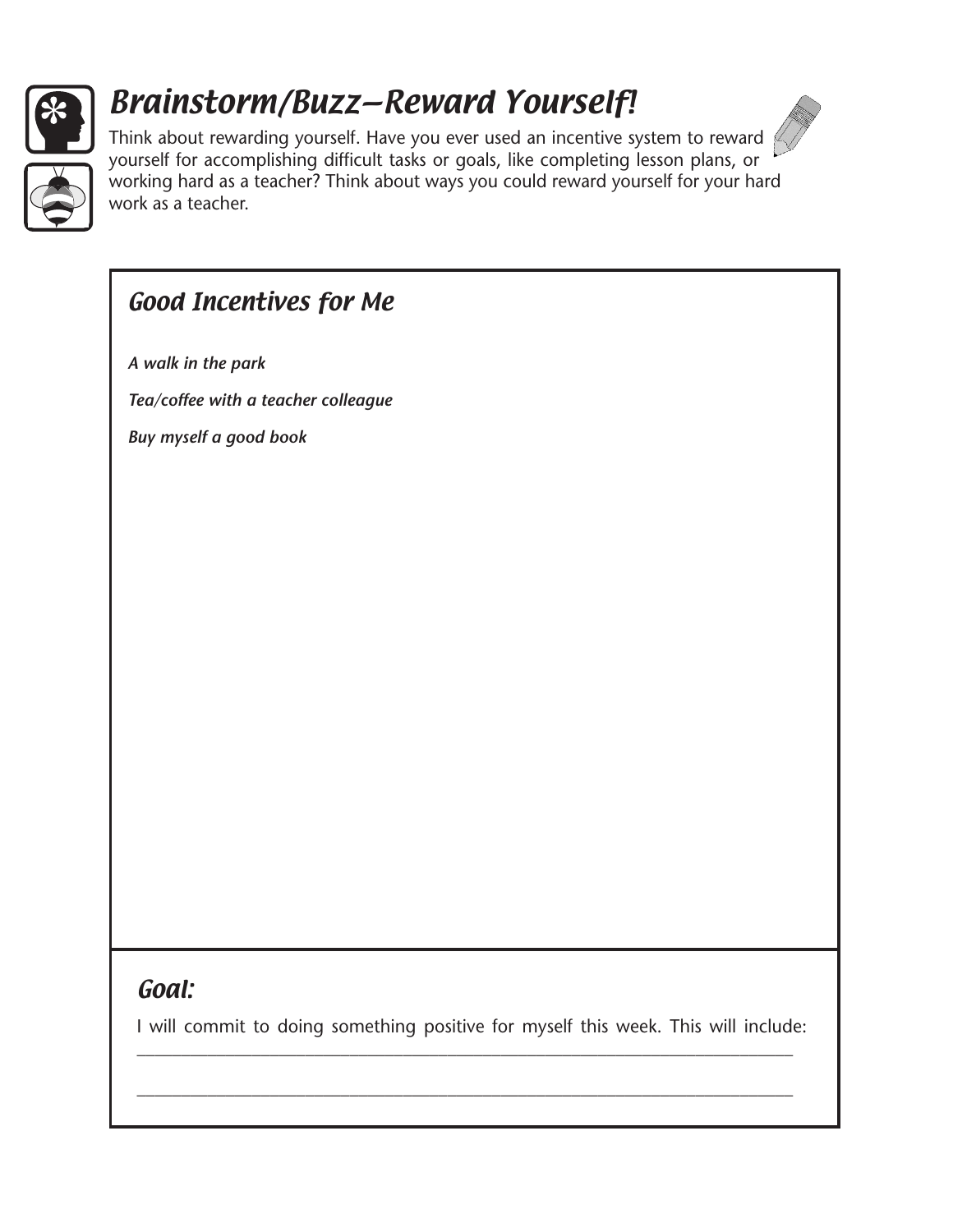

# Brainstorm/Buzz—Reward Yourself!



Think about rewarding yourself. Have you ever used an incentive system to reward  $\beta$ yourself for accomplishing difficult tasks or goals, like completing lesson plans, or working hard as a teacher? Think about ways you could reward yourself for your hard work as a teacher.

### Good Incentives for Me

*A walk in the park*

*Tea/coffee with a teacher colleague*

*Buy myself a good book*

#### Goal:

I will commit to doing something positive for myself this week. This will include: \_\_\_\_\_\_\_\_\_\_\_\_\_\_\_\_\_\_\_\_\_\_\_\_\_\_\_\_\_\_\_\_\_\_\_\_\_\_\_\_\_\_\_\_\_\_\_\_\_\_\_\_\_\_\_\_\_\_\_\_\_\_\_\_\_\_\_\_\_\_\_\_\_\_

\_\_\_\_\_\_\_\_\_\_\_\_\_\_\_\_\_\_\_\_\_\_\_\_\_\_\_\_\_\_\_\_\_\_\_\_\_\_\_\_\_\_\_\_\_\_\_\_\_\_\_\_\_\_\_\_\_\_\_\_\_\_\_\_\_\_\_\_\_\_\_\_\_\_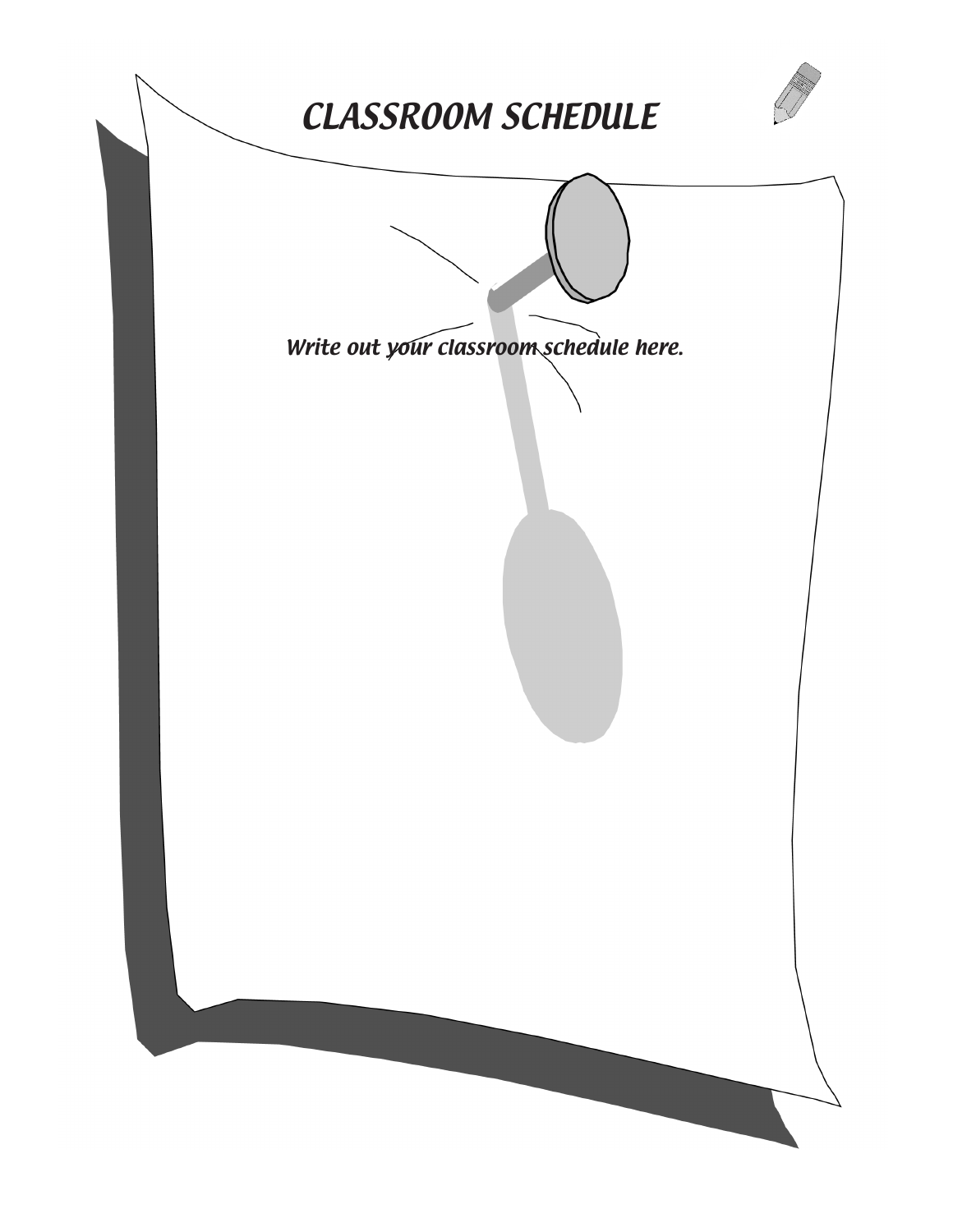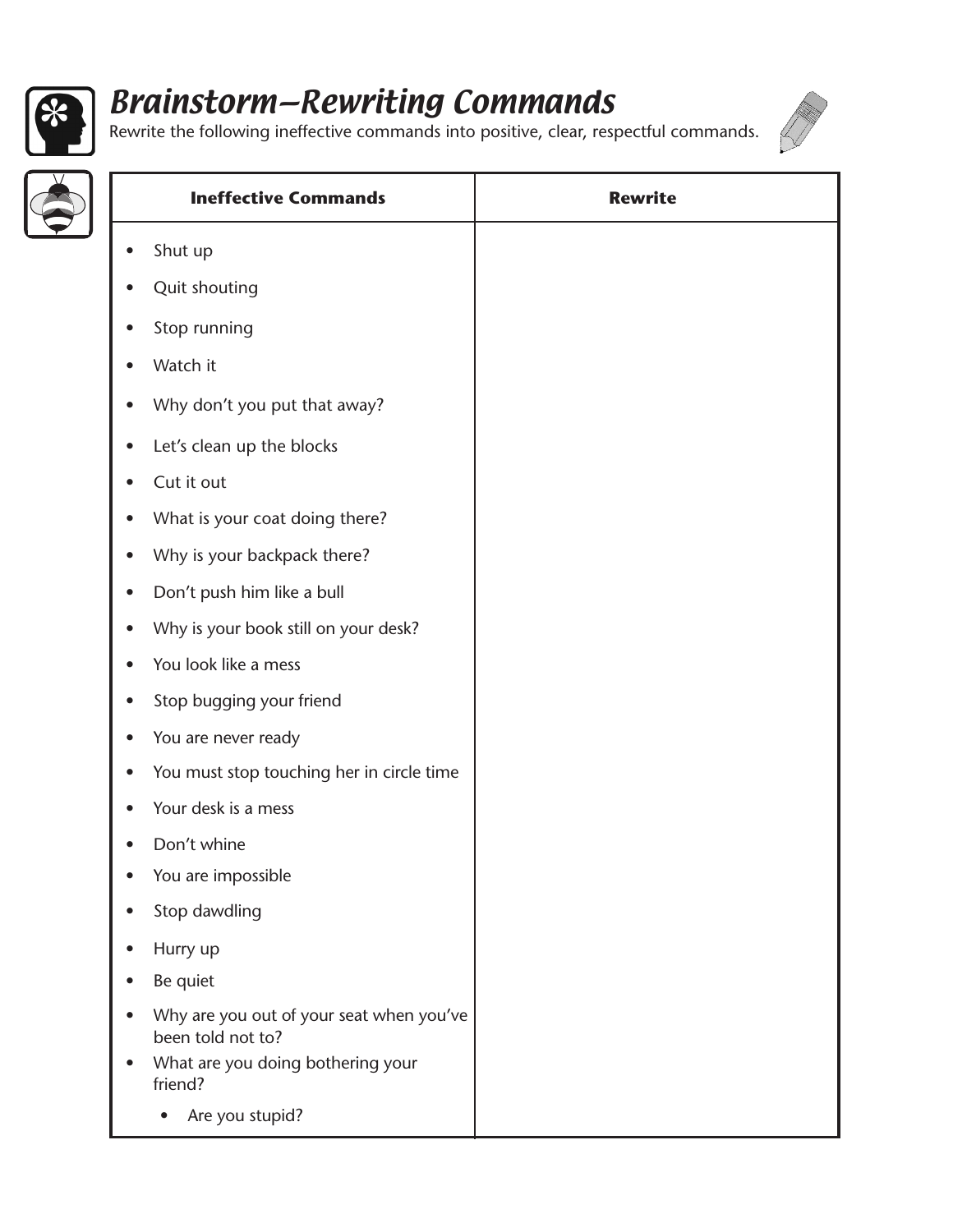

# Brainstorm—Rewriting Commands



Rewrite the following ineffective commands into positive, clear, respectful commands.

|           | <b>Ineffective Commands</b>                                   | <b>Rewrite</b> |
|-----------|---------------------------------------------------------------|----------------|
| $\bullet$ | Shut up                                                       |                |
| $\bullet$ | Quit shouting                                                 |                |
| $\bullet$ | Stop running                                                  |                |
| $\bullet$ | Watch it                                                      |                |
| $\bullet$ | Why don't you put that away?                                  |                |
| $\bullet$ | Let's clean up the blocks                                     |                |
| $\bullet$ | Cut it out                                                    |                |
| $\bullet$ | What is your coat doing there?                                |                |
| $\bullet$ | Why is your backpack there?                                   |                |
| $\bullet$ | Don't push him like a bull                                    |                |
| $\bullet$ | Why is your book still on your desk?                          |                |
| $\bullet$ | You look like a mess                                          |                |
| $\bullet$ | Stop bugging your friend                                      |                |
| $\bullet$ | You are never ready                                           |                |
| $\bullet$ | You must stop touching her in circle time                     |                |
|           | Your desk is a mess                                           |                |
|           | Don't whine                                                   |                |
|           | You are impossible                                            |                |
| $\bullet$ | Stop dawdling                                                 |                |
| $\bullet$ | Hurry up                                                      |                |
| $\bullet$ | Be quiet                                                      |                |
| $\bullet$ | Why are you out of your seat when you've<br>been told not to? |                |
|           | What are you doing bothering your<br>friend?                  |                |
|           | Are you stupid?                                               |                |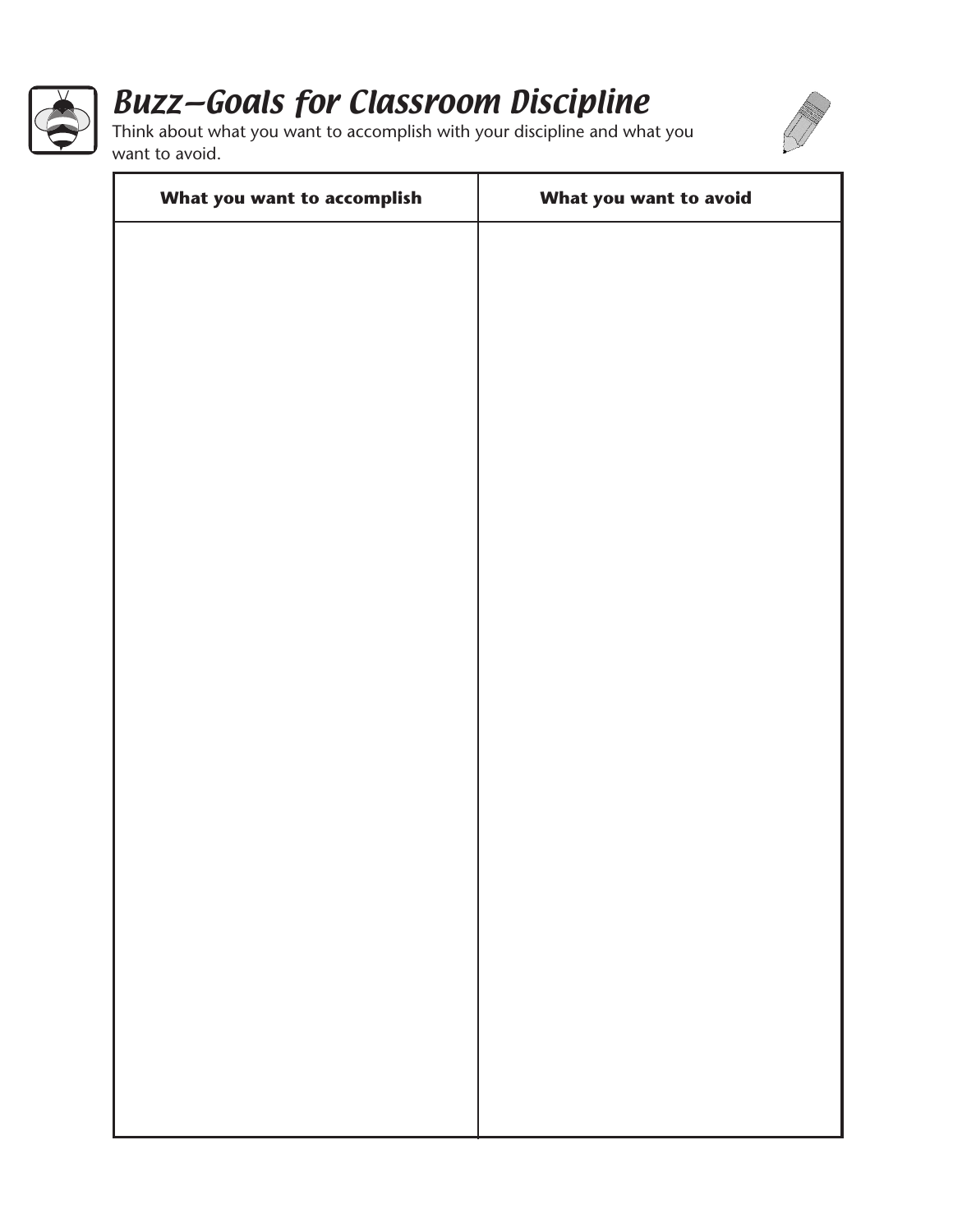

# Buzz—Goals for Classroom Discipline



Think about what you want to accomplish with your discipline and what you want to avoid.

| What you want to accomplish | What you want to avoid |
|-----------------------------|------------------------|
|                             |                        |
|                             |                        |
|                             |                        |
|                             |                        |
|                             |                        |
|                             |                        |
|                             |                        |
|                             |                        |
|                             |                        |
|                             |                        |
|                             |                        |
|                             |                        |
|                             |                        |
|                             |                        |
|                             |                        |
|                             |                        |
|                             |                        |
|                             |                        |
|                             |                        |
|                             |                        |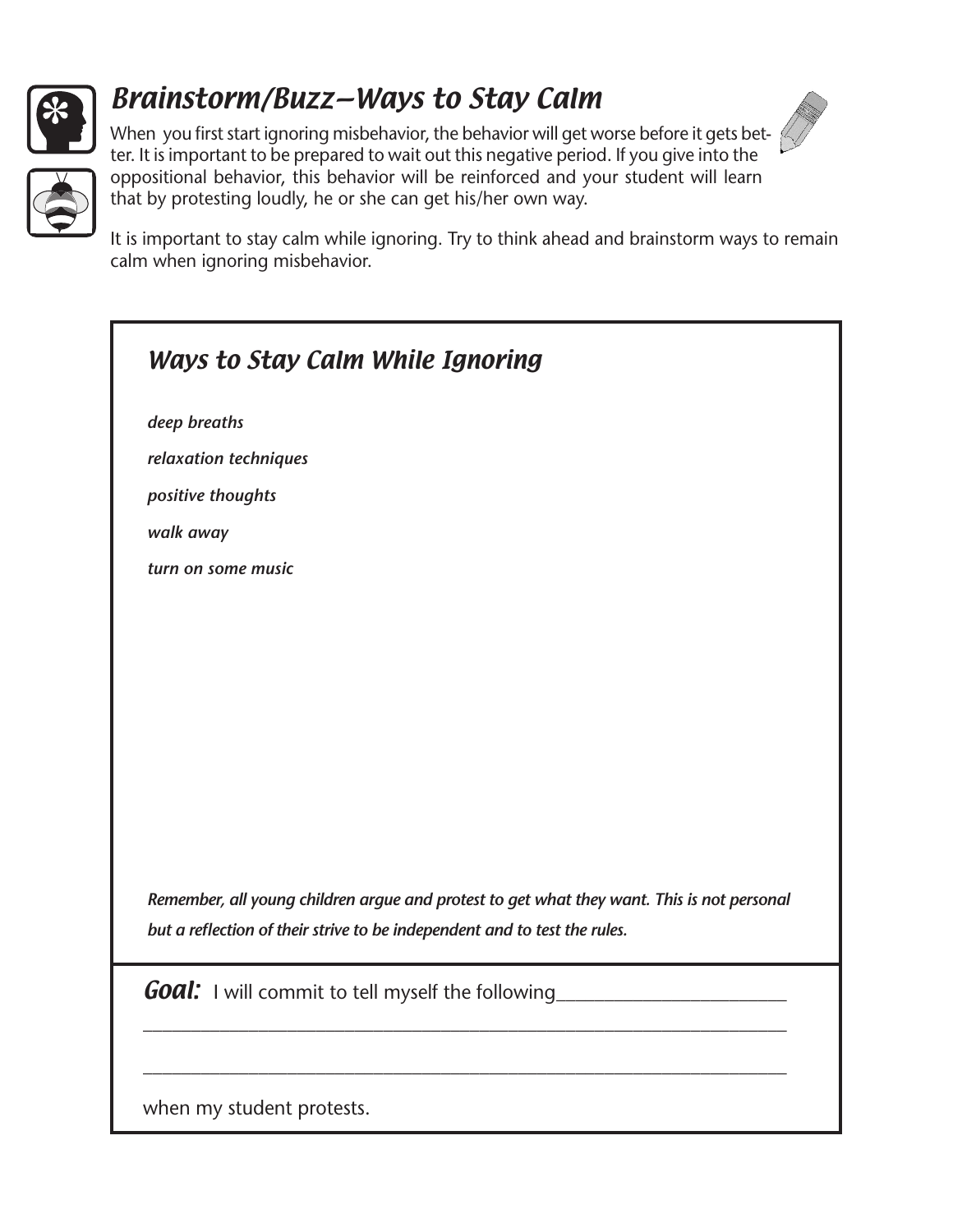

## Brainstorm/Buzz—Ways to Stay Calm



When you first start ignoring misbehavior, the behavior will get worse before it gets better. It is important to be prepared to wait out this negative period. If you give into the oppositional behavior, this behavior will be reinforced and your student will learn that by protesting loudly, he or she can get his/her own way.

It is important to stay calm while ignoring. Try to think ahead and brainstorm ways to remain calm when ignoring misbehavior.

| <b>Ways to Stay Calm While Ignoring</b>                                                    |
|--------------------------------------------------------------------------------------------|
| deep breaths                                                                               |
| relaxation techniques                                                                      |
| positive thoughts                                                                          |
| walk away                                                                                  |
| turn on some music                                                                         |
|                                                                                            |
|                                                                                            |
|                                                                                            |
|                                                                                            |
|                                                                                            |
|                                                                                            |
|                                                                                            |
|                                                                                            |
| Remember, all young children argue and protest to get what they want. This is not personal |
| but a reflection of their strive to be independent and to test the rules.                  |
| <b>Goal:</b> I will commit to tell myself the following                                    |
|                                                                                            |
| when my student protests.                                                                  |
|                                                                                            |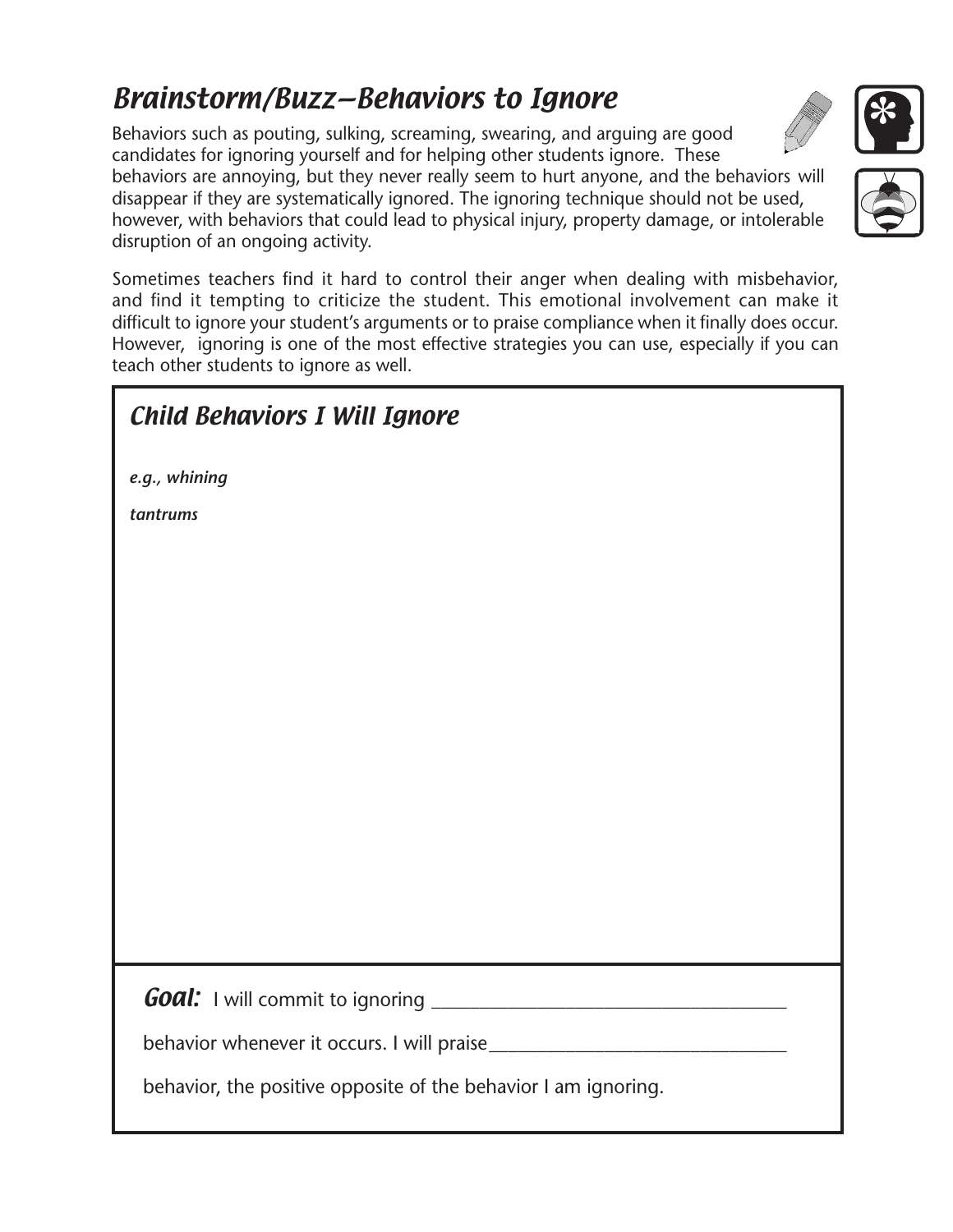## Brainstorm/Buzz—Behaviors to Ignore

Behaviors such as pouting, sulking, screaming, swearing, and arguing are good candidates for ignoring yourself and for helping other students ignore. These

behaviors are annoying, but they never really seem to hurt anyone, and the behaviors will disappear if they are systematically ignored. The ignoring technique should not be used, however, with behaviors that could lead to physical injury, property damage, or intolerable disruption of an ongoing activity.

Sometimes teachers find it hard to control their anger when dealing with misbehavior, and find it tempting to criticize the student. This emotional involvement can make it difficult to ignore your student's arguments or to praise compliance when it finally does occur. However, ignoring is one of the most effective strategies you can use, especially if you can teach other students to ignore as well.

| <b>Child Behaviors I Will Ignore</b>                           |
|----------------------------------------------------------------|
| e.g., whining                                                  |
| tantrums                                                       |
|                                                                |
|                                                                |
|                                                                |
|                                                                |
|                                                                |
|                                                                |
|                                                                |
|                                                                |
|                                                                |
|                                                                |
|                                                                |
|                                                                |
| behavior, the positive opposite of the behavior I am ignoring. |



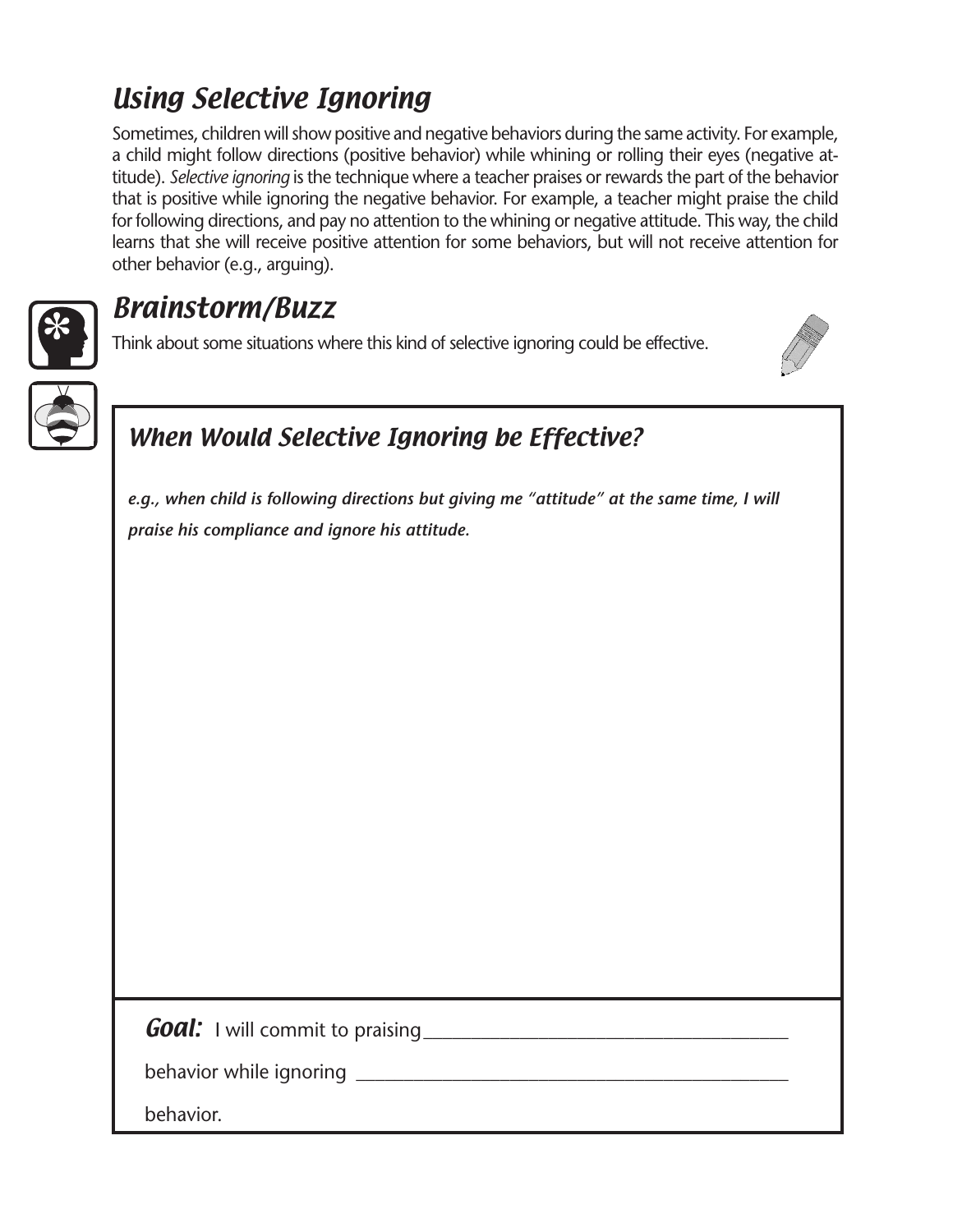## Using Selective Ignoring

Sometimes, children will show positive and negative behaviors during the same activity. For example, a child might follow directions (positive behavior) while whining or rolling their eyes (negative attitude). *Selective ignoring* is the technique where a teacher praises or rewards the part of the behavior that is positive while ignoring the negative behavior. For example, a teacher might praise the child for following directions, and pay no attention to the whining or negative attitude. This way, the child learns that she will receive positive attention for some behaviors, but will not receive attention for other behavior (e.g., arguing).



## Brainstorm/Buzz

Think about some situations where this kind of selective ignoring could be effective.



## When Would Selective Ignoring be Effective?

*e.g., when child is following directions but giving me "attitude" at the same time, I will praise his compliance and ignore his attitude.*

|  | <b>Goal:</b> I will commit to praising |  |
|--|----------------------------------------|--|
|--|----------------------------------------|--|

| behavior while ignoring |  |
|-------------------------|--|
|                         |  |

behavior.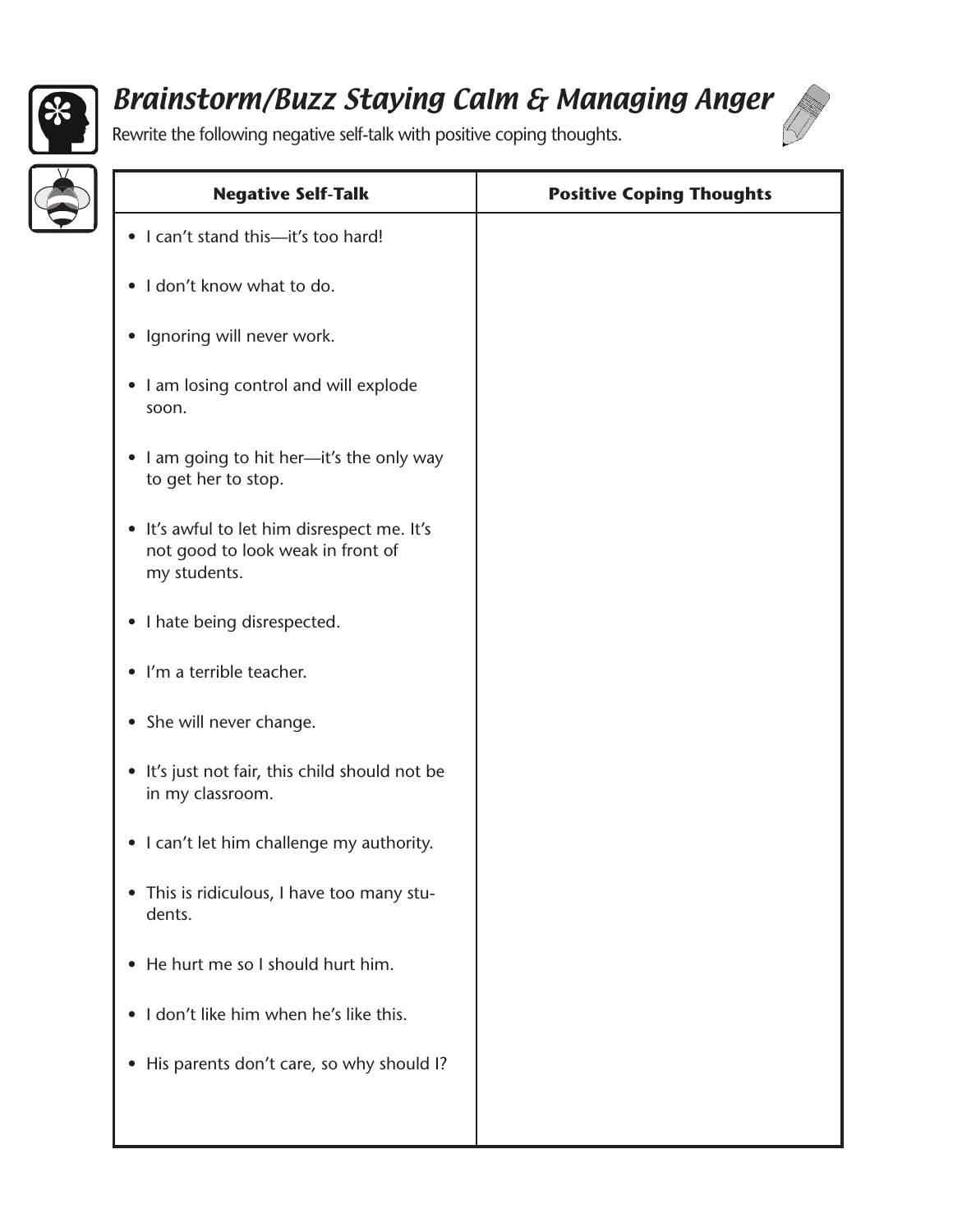

## Brainstorm/Buzz Staying Calm & Managing Anger



Rewrite the following negative self-talk with positive coping thoughts.

| <b>Negative Self-Talk</b>                                                                        | <b>Positive Coping Thoughts</b> |
|--------------------------------------------------------------------------------------------------|---------------------------------|
| • I can't stand this-it's too hard!                                                              |                                 |
| I don't know what to do.<br>$\bullet$                                                            |                                 |
| • Ignoring will never work.                                                                      |                                 |
| • I am losing control and will explode<br>soon.                                                  |                                 |
| • I am going to hit her-it's the only way<br>to get her to stop.                                 |                                 |
| • It's awful to let him disrespect me. It's<br>not good to look weak in front of<br>my students. |                                 |
| • I hate being disrespected.                                                                     |                                 |
| I'm a terrible teacher.<br>$\bullet$                                                             |                                 |
| • She will never change.                                                                         |                                 |
| • It's just not fair, this child should not be<br>in my classroom.                               |                                 |
| • I can't let him challenge my authority.                                                        |                                 |
| • This is ridiculous, I have too many stu-<br>dents.                                             |                                 |
| He hurt me so I should hurt him.<br>$\bullet$                                                    |                                 |
| I don't like him when he's like this.<br>$\bullet$                                               |                                 |
| • His parents don't care, so why should I?                                                       |                                 |
|                                                                                                  |                                 |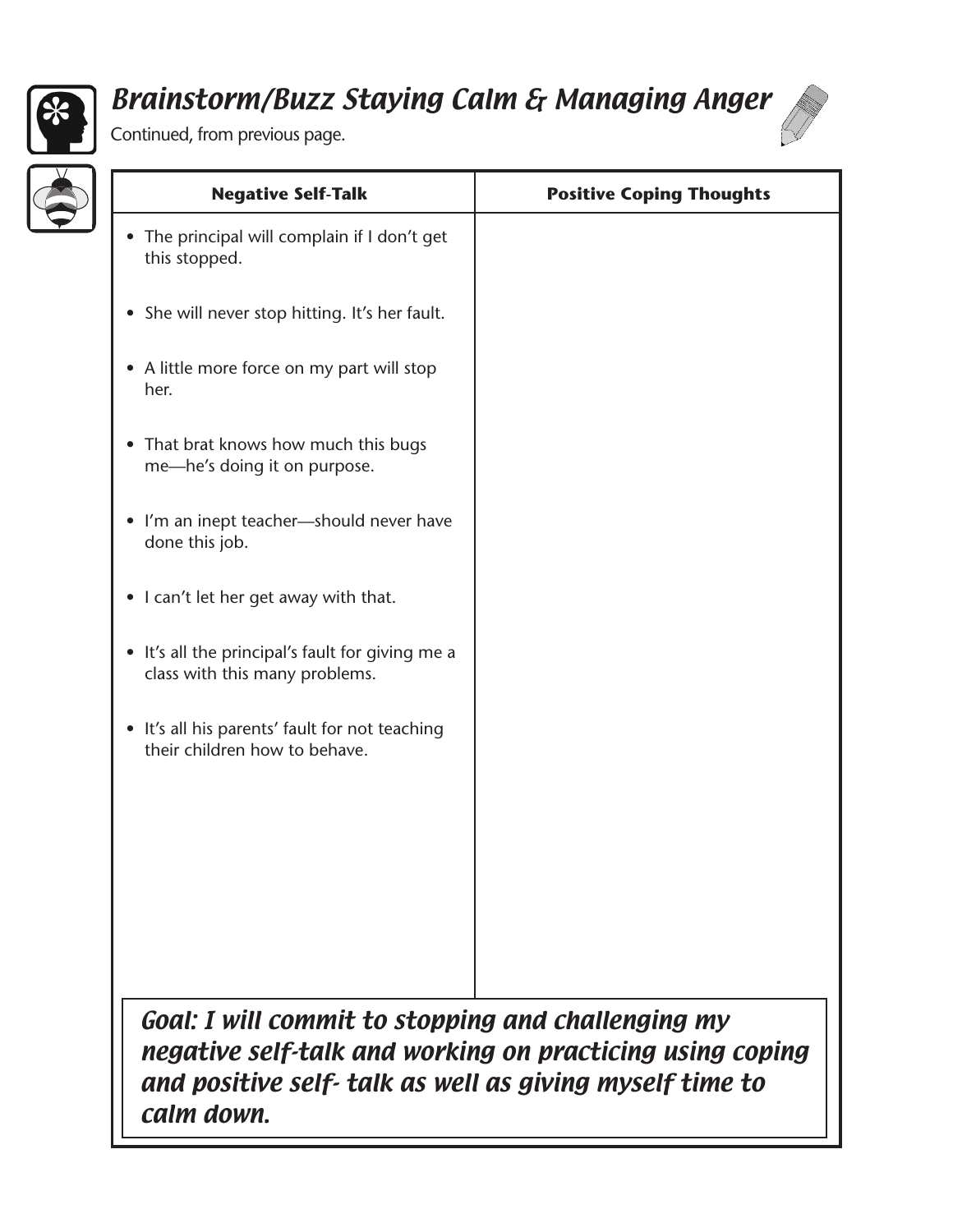

# Brainstorm/Buzz Staying Calm & Managing Anger





┚╹

| <b>Negative Self-Talk</b>                                                          | <b>Positive Coping Thoughts</b> |
|------------------------------------------------------------------------------------|---------------------------------|
| The principal will complain if I don't get<br>this stopped.                        |                                 |
| • She will never stop hitting. It's her fault.                                     |                                 |
| • A little more force on my part will stop<br>her.                                 |                                 |
| That brat knows how much this bugs<br>$\bullet$<br>me-he's doing it on purpose.    |                                 |
| • I'm an inept teacher-should never have<br>done this job.                         |                                 |
| • I can't let her get away with that.                                              |                                 |
| • It's all the principal's fault for giving me a<br>class with this many problems. |                                 |
| • It's all his parents' fault for not teaching<br>their children how to behave.    |                                 |
|                                                                                    |                                 |
|                                                                                    |                                 |
|                                                                                    |                                 |
|                                                                                    |                                 |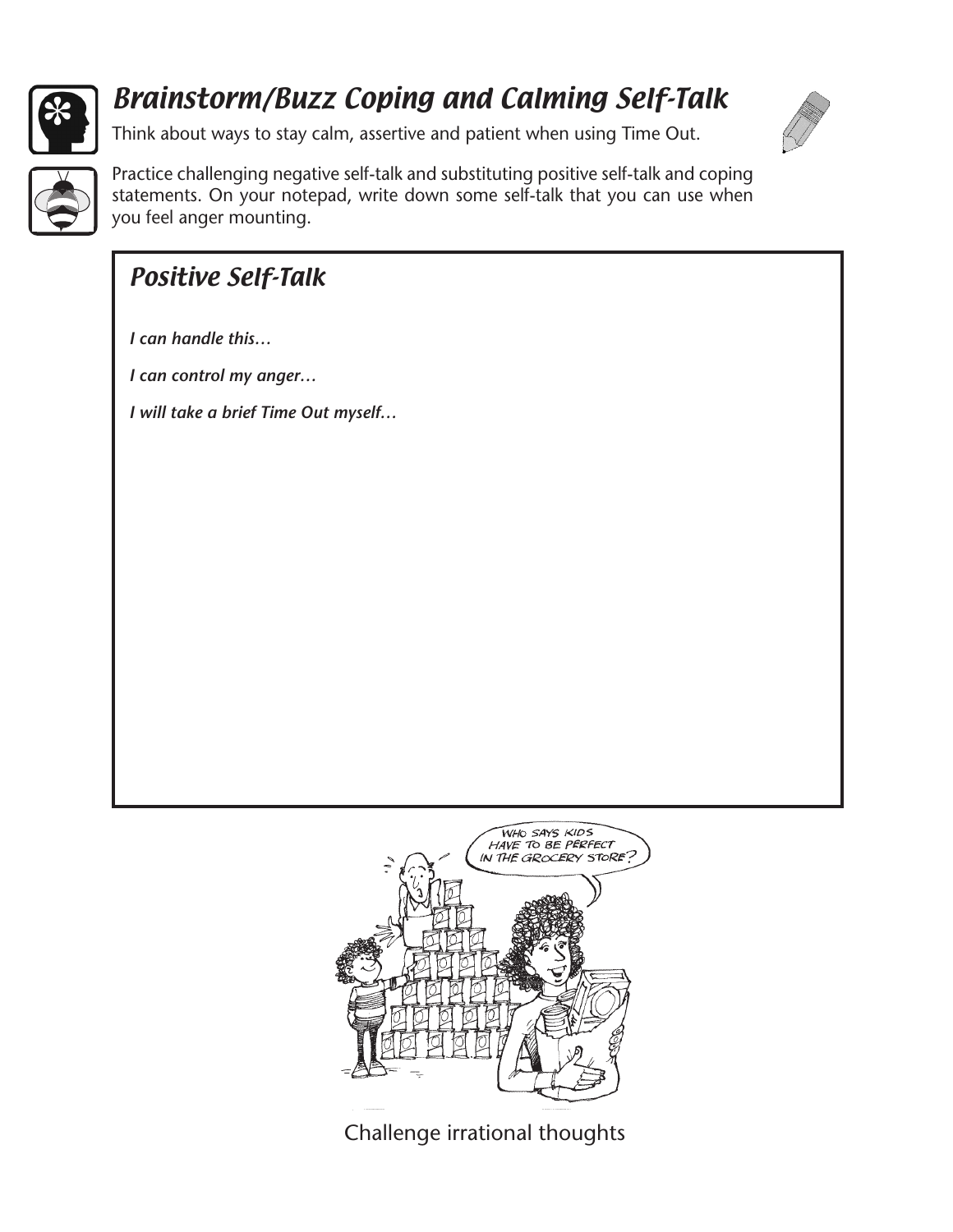

## Brainstorm/Buzz Coping and Calming Self-Talk

Think about ways to stay calm, assertive and patient when using Time Out.





Practice challenging negative self-talk and substituting positive self-talk and coping statements. On your notepad, write down some self-talk that you can use when you feel anger mounting.

## Positive Self-Talk

*I can handle this…*

*I can control my anger…*

*I will take a brief Time Out myself…*



Challenge irrational thoughts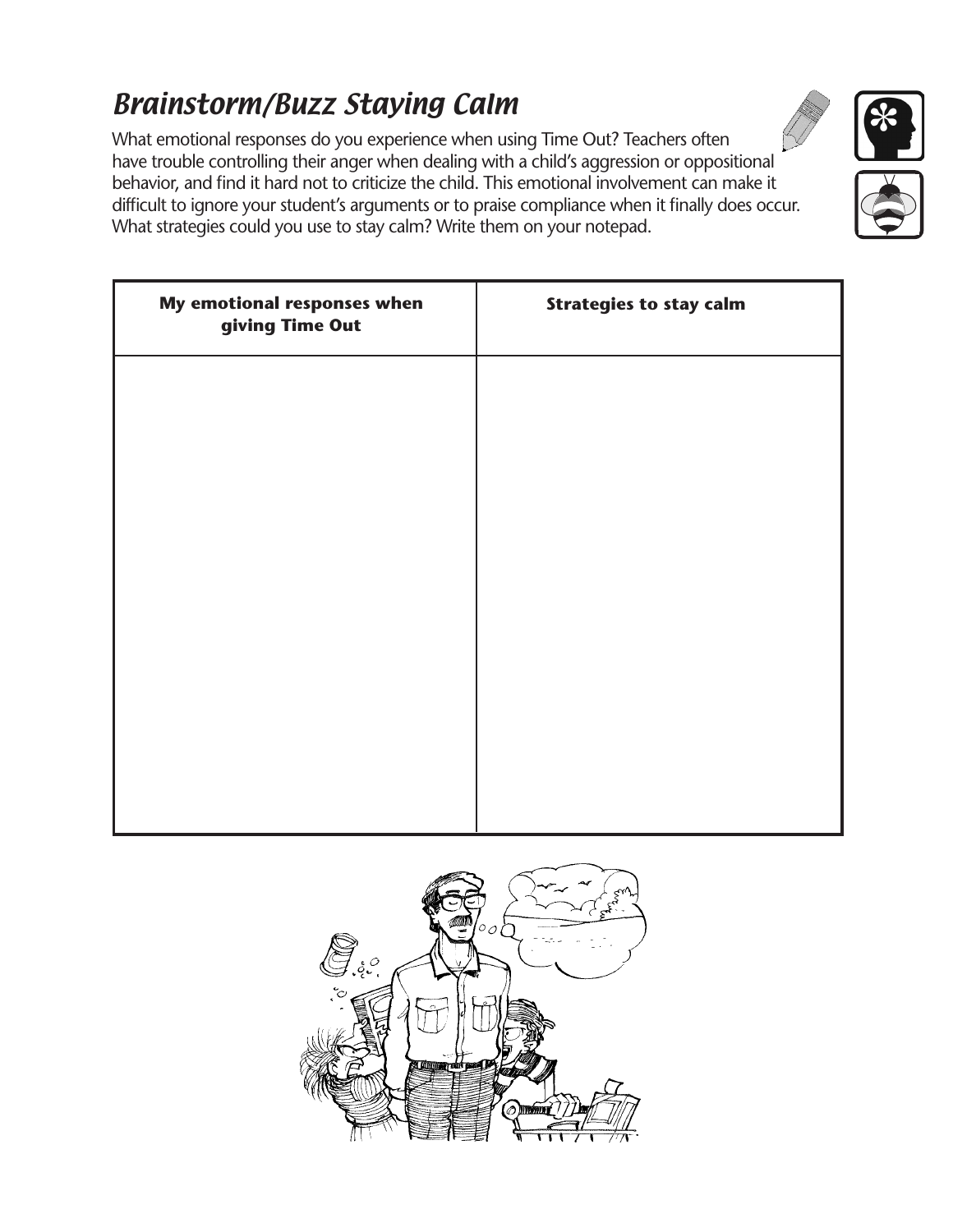# Brainstorm/Buzz Staying Calm

What emotional responses do you experience when using Time Out? Teachers often have trouble controlling their anger when dealing with a child's aggression or oppositional behavior, and find it hard not to criticize the child. This emotional involvement can make it difficult to ignore your student's arguments or to praise compliance when it finally does occur. What strategies could you use to stay calm? Write them on your notepad.

| My emotional responses when<br>giving Time Out | <b>Strategies to stay calm</b> |
|------------------------------------------------|--------------------------------|
|                                                |                                |
|                                                |                                |
|                                                |                                |
|                                                |                                |
|                                                |                                |
|                                                |                                |
|                                                |                                |





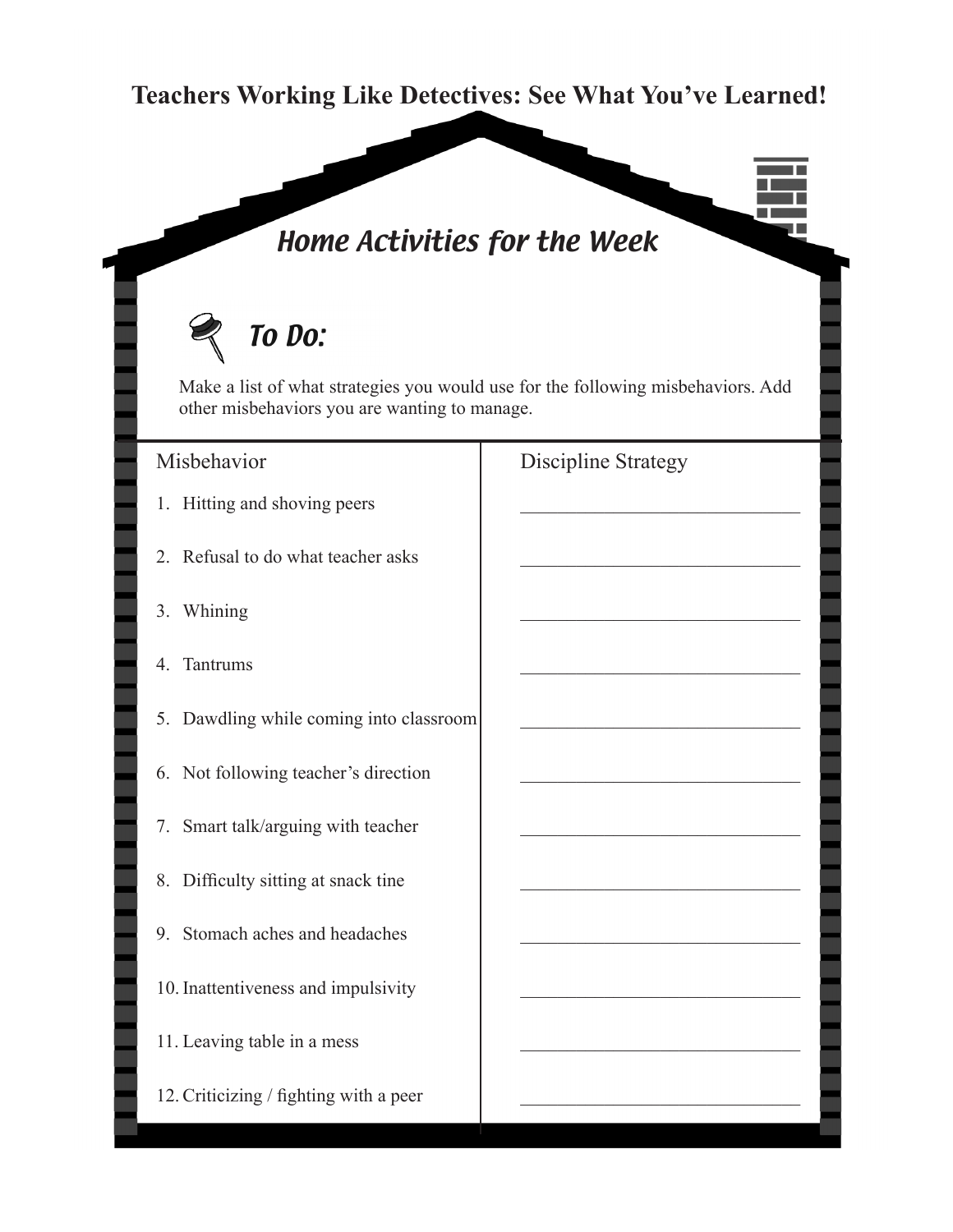#### **Teachers Working Like Detectives: See What You've Learned!**

## Home Activities for the Week

# To Do:

Make a list of what strategies you would use for the following misbehaviors. Add other misbehaviors you are wanting to manage.

- 1. Hitting and shoving peers
- 2. Refusal to do what teacher asks
- 3. Whining
- 4. Tantrums
- 5. Dawdling while coming into classroom
- 6. Not following teacher's direction
- 7. Smart talk/arguing with teacher
- 8. Difficulty sitting at snack tine
- 9. Stomach aches and headaches
- 10. Inattentiveness and impulsivity
- 11. Leaving table in a mess
- 12. Criticizing  $/$  fighting with a peer

#### Misbehavior Discipline Strategy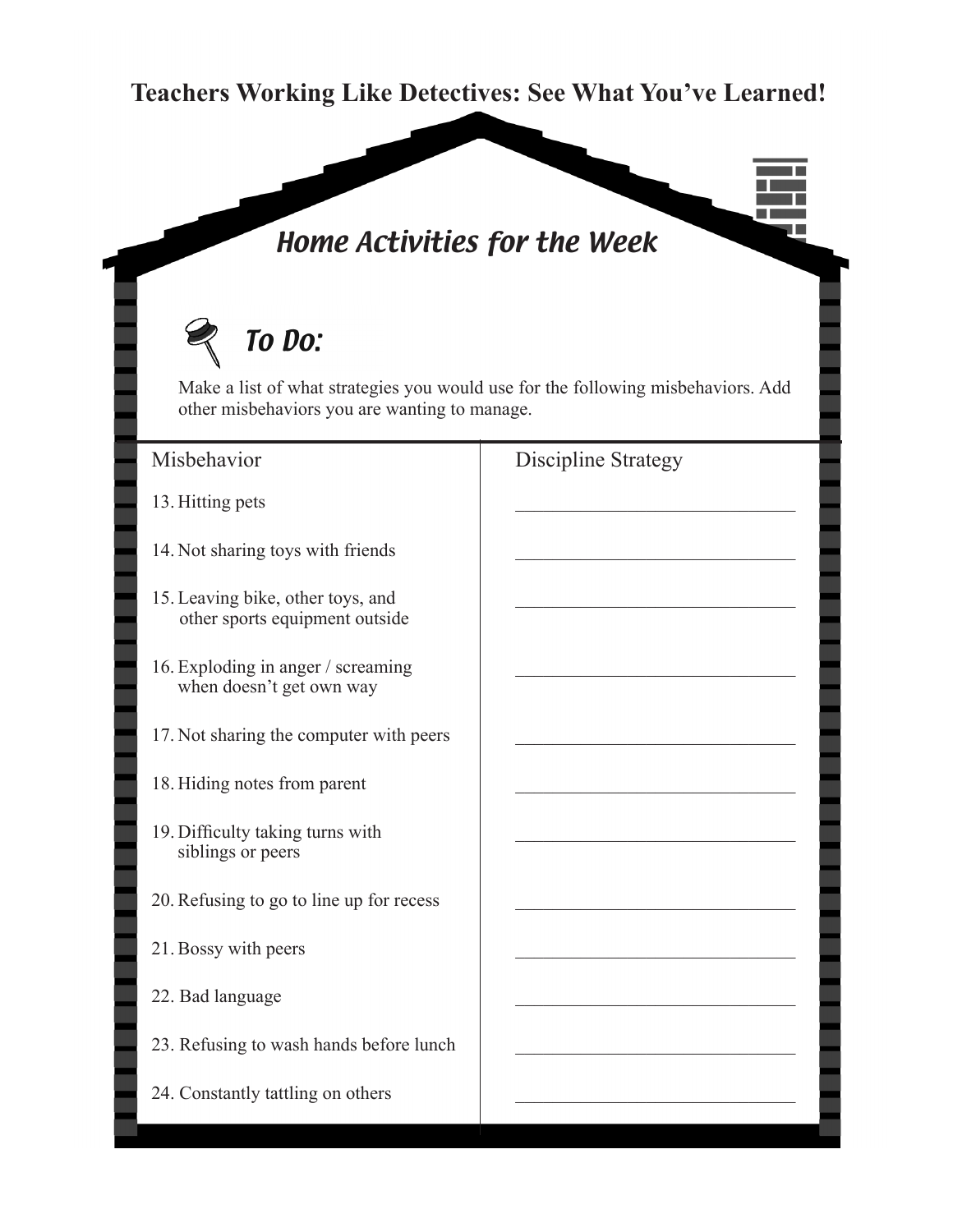#### **Teachers Working Like Detectives: See What You've Learned!**

## Home Activities for the Week

# To Do:

Make a list of what strategies you would use for the following misbehaviors. Add other misbehaviors you are wanting to manage.

- 13. Hitting pets
- 14. Not sharing toys with friends
- 15. Leaving bike, other toys, and other sports equipment outside
- 16. Exploding in anger / screaming when doesn't get own way
- 17. Not sharing the computer with peers
- 18. Hiding notes from parent
- 19. Difficulty taking turns with siblings or peers
- 20. Refusing to go to line up for recess
- 21. Bossy with peers
- 22. Bad language
- 23. Refusing to wash hands before lunch
- 24. Constantly tattling on others

#### Misbehavior Discipline Strategy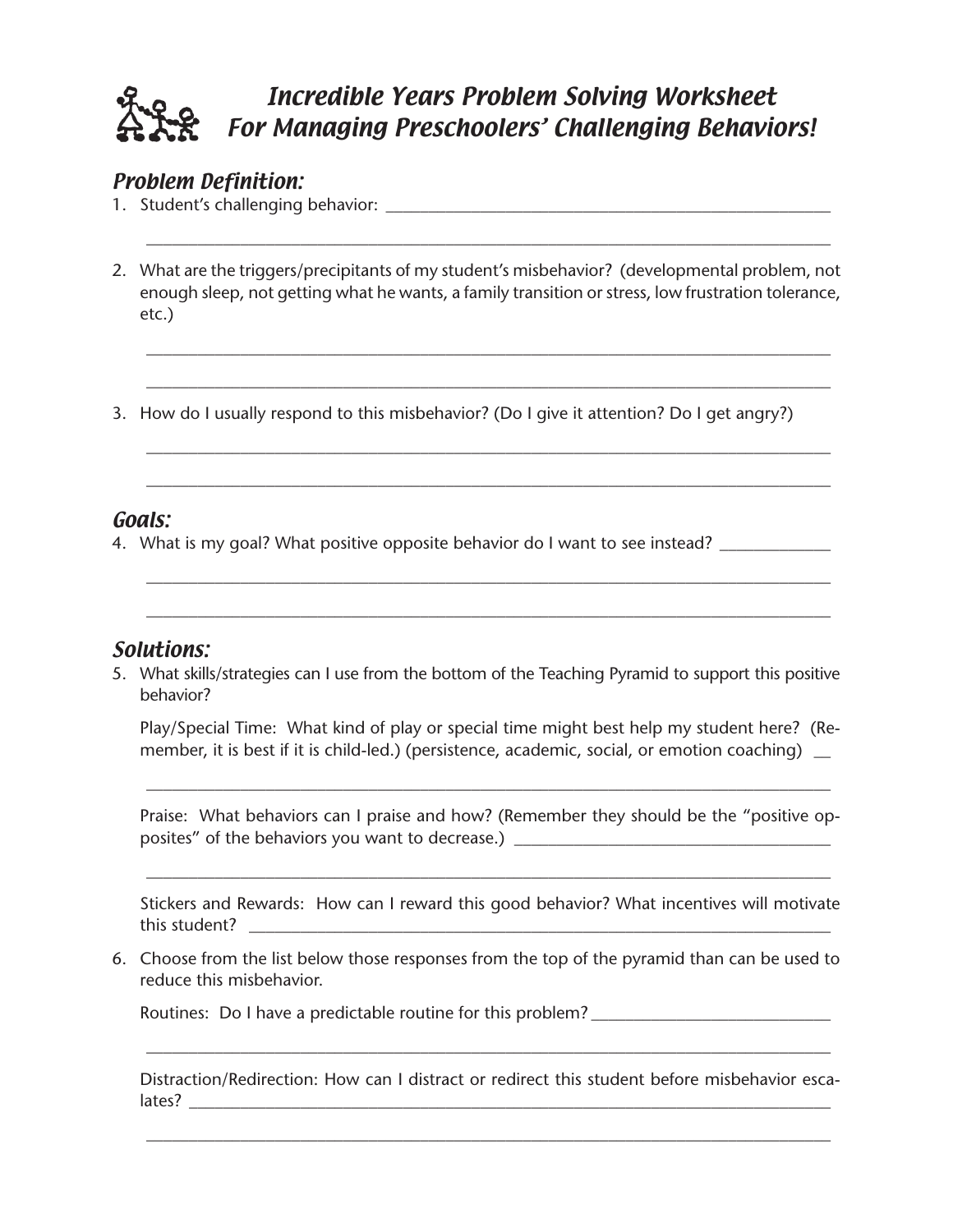

#### Problem Definition:

- 1. Student's challenging behavior: \_\_\_\_\_\_\_\_\_\_\_\_\_\_\_\_\_\_\_\_\_\_\_\_\_\_\_\_\_\_\_\_\_\_\_\_\_\_\_\_\_\_\_\_\_\_\_\_\_\_\_\_
- 2. What are the triggers/precipitants of my student's misbehavior? (developmental problem, not enough sleep, not getting what he wants, a family transition or stress, low frustration tolerance, etc.)

\_\_\_\_\_\_\_\_\_\_\_\_\_\_\_\_\_\_\_\_\_\_\_\_\_\_\_\_\_\_\_\_\_\_\_\_\_\_\_\_\_\_\_\_\_\_\_\_\_\_\_\_\_\_\_\_\_\_\_\_\_\_\_\_\_\_\_\_\_\_\_\_\_\_\_\_\_\_\_\_

\_\_\_\_\_\_\_\_\_\_\_\_\_\_\_\_\_\_\_\_\_\_\_\_\_\_\_\_\_\_\_\_\_\_\_\_\_\_\_\_\_\_\_\_\_\_\_\_\_\_\_\_\_\_\_\_\_\_\_\_\_\_\_\_\_\_\_\_\_\_\_\_\_\_\_\_\_\_\_\_

\_\_\_\_\_\_\_\_\_\_\_\_\_\_\_\_\_\_\_\_\_\_\_\_\_\_\_\_\_\_\_\_\_\_\_\_\_\_\_\_\_\_\_\_\_\_\_\_\_\_\_\_\_\_\_\_\_\_\_\_\_\_\_\_\_\_\_\_\_\_\_\_\_\_\_\_\_\_\_\_

\_\_\_\_\_\_\_\_\_\_\_\_\_\_\_\_\_\_\_\_\_\_\_\_\_\_\_\_\_\_\_\_\_\_\_\_\_\_\_\_\_\_\_\_\_\_\_\_\_\_\_\_\_\_\_\_\_\_\_\_\_\_\_\_\_\_\_\_\_\_\_\_\_\_\_\_\_\_\_\_

\_\_\_\_\_\_\_\_\_\_\_\_\_\_\_\_\_\_\_\_\_\_\_\_\_\_\_\_\_\_\_\_\_\_\_\_\_\_\_\_\_\_\_\_\_\_\_\_\_\_\_\_\_\_\_\_\_\_\_\_\_\_\_\_\_\_\_\_\_\_\_\_\_\_\_\_\_\_\_\_

\_\_\_\_\_\_\_\_\_\_\_\_\_\_\_\_\_\_\_\_\_\_\_\_\_\_\_\_\_\_\_\_\_\_\_\_\_\_\_\_\_\_\_\_\_\_\_\_\_\_\_\_\_\_\_\_\_\_\_\_\_\_\_\_\_\_\_\_\_\_\_\_\_\_\_\_\_\_\_\_

\_\_\_\_\_\_\_\_\_\_\_\_\_\_\_\_\_\_\_\_\_\_\_\_\_\_\_\_\_\_\_\_\_\_\_\_\_\_\_\_\_\_\_\_\_\_\_\_\_\_\_\_\_\_\_\_\_\_\_\_\_\_\_\_\_\_\_\_\_\_\_\_\_\_\_\_\_\_\_\_

3. How do I usually respond to this misbehavior? (Do I give it attention? Do I get angry?)

#### Goals:

4. What is my goal? What positive opposite behavior do I want to see instead? \_\_\_\_\_\_\_\_\_

#### Solutions:

5. What skills/strategies can I use from the bottom of the Teaching Pyramid to support this positive behavior?

Play/Special Time: What kind of play or special time might best help my student here? (Remember, it is best if it is child-led.) (persistence, academic, social, or emotion coaching) \_

Praise: What behaviors can I praise and how? (Remember they should be the "positive opposites" of the behaviors you want to decrease.) \_\_\_\_\_\_\_\_\_\_\_\_\_\_\_\_\_\_\_\_\_\_\_\_\_\_\_\_\_\_\_

\_\_\_\_\_\_\_\_\_\_\_\_\_\_\_\_\_\_\_\_\_\_\_\_\_\_\_\_\_\_\_\_\_\_\_\_\_\_\_\_\_\_\_\_\_\_\_\_\_\_\_\_\_\_\_\_\_\_\_\_\_\_\_\_\_\_\_\_\_\_\_\_\_\_\_\_\_\_\_\_

Stickers and Rewards: How can I reward this good behavior? What incentives will motivate this student? \_\_\_\_\_\_\_\_\_\_\_\_\_\_\_\_\_\_\_\_\_\_\_\_\_\_\_\_\_\_\_\_\_\_\_\_\_\_\_\_\_\_\_\_\_\_\_\_\_\_\_\_\_\_\_\_\_\_\_\_\_\_\_\_\_\_\_\_

\_\_\_\_\_\_\_\_\_\_\_\_\_\_\_\_\_\_\_\_\_\_\_\_\_\_\_\_\_\_\_\_\_\_\_\_\_\_\_\_\_\_\_\_\_\_\_\_\_\_\_\_\_\_\_\_\_\_\_\_\_\_\_\_\_\_\_\_\_\_\_\_\_\_\_\_\_\_\_\_

6. Choose from the list below those responses from the top of the pyramid than can be used to reduce this misbehavior.

Routines: Do I have a predictable routine for this problem?

Distraction/Redirection: How can I distract or redirect this student before misbehavior esca- $\vert \text{ates?} \; \underline{\hspace{2cm}}$ 

\_\_\_\_\_\_\_\_\_\_\_\_\_\_\_\_\_\_\_\_\_\_\_\_\_\_\_\_\_\_\_\_\_\_\_\_\_\_\_\_\_\_\_\_\_\_\_\_\_\_\_\_\_\_\_\_\_\_\_\_\_\_\_\_\_\_\_\_\_\_\_\_\_\_\_\_\_\_\_\_

\_\_\_\_\_\_\_\_\_\_\_\_\_\_\_\_\_\_\_\_\_\_\_\_\_\_\_\_\_\_\_\_\_\_\_\_\_\_\_\_\_\_\_\_\_\_\_\_\_\_\_\_\_\_\_\_\_\_\_\_\_\_\_\_\_\_\_\_\_\_\_\_\_\_\_\_\_\_\_\_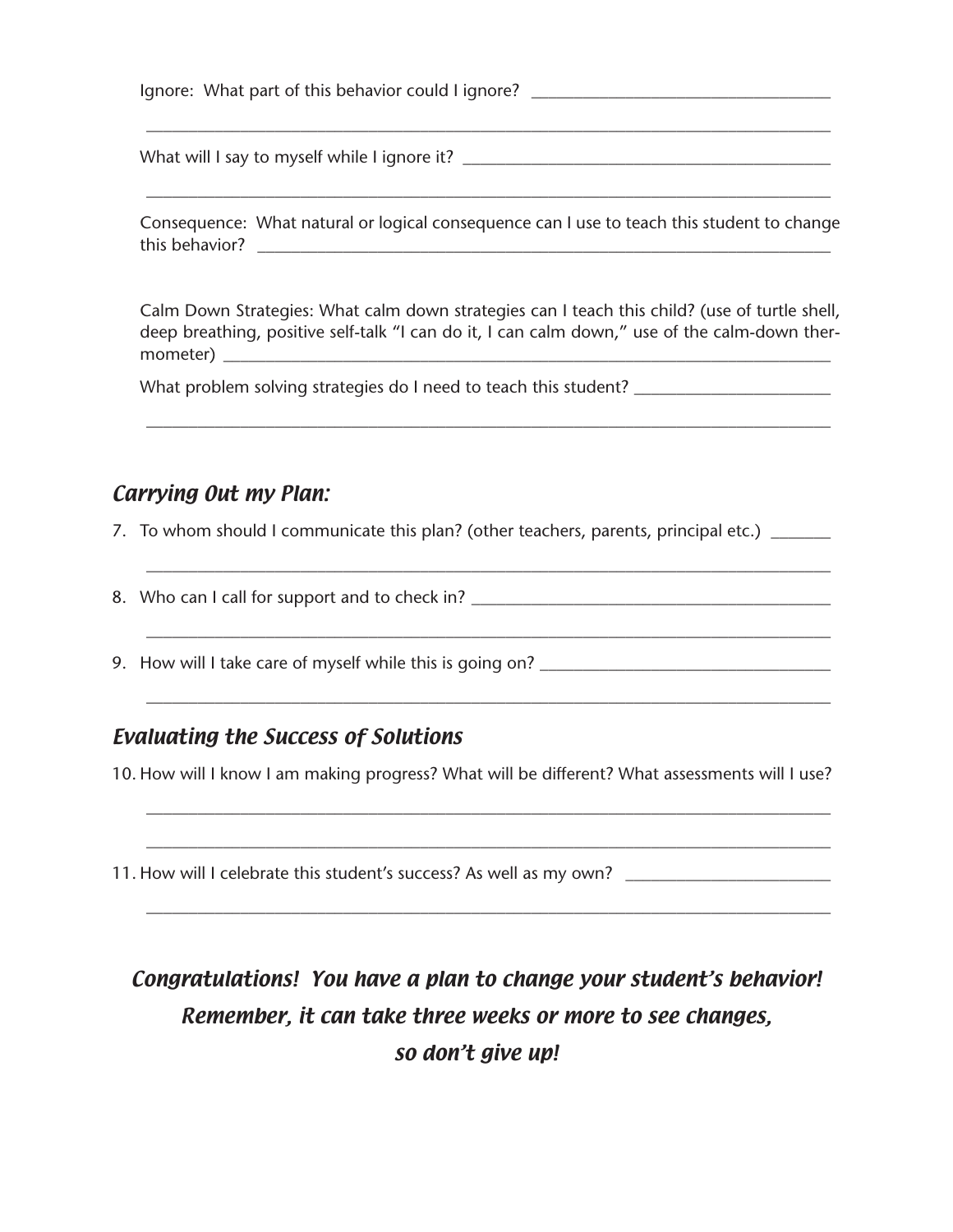| Consequence: What natural or logical consequence can I use to teach this student to change                                                                                                     |
|------------------------------------------------------------------------------------------------------------------------------------------------------------------------------------------------|
| Calm Down Strategies: What calm down strategies can I teach this child? (use of turtle shell,<br>deep breathing, positive self-talk "I can do it, I can calm down," use of the calm-down ther- |
|                                                                                                                                                                                                |

7. To whom should I communicate this plan? (other teachers, parents, principal etc.) \_\_\_\_\_\_\_

\_\_\_\_\_\_\_\_\_\_\_\_\_\_\_\_\_\_\_\_\_\_\_\_\_\_\_\_\_\_\_\_\_\_\_\_\_\_\_\_\_\_\_\_\_\_\_\_\_\_\_\_\_\_\_\_\_\_\_\_\_\_\_\_\_\_\_\_\_\_\_\_\_\_\_\_\_\_\_\_

\_\_\_\_\_\_\_\_\_\_\_\_\_\_\_\_\_\_\_\_\_\_\_\_\_\_\_\_\_\_\_\_\_\_\_\_\_\_\_\_\_\_\_\_\_\_\_\_\_\_\_\_\_\_\_\_\_\_\_\_\_\_\_\_\_\_\_\_\_\_\_\_\_\_\_\_\_\_\_\_

\_\_\_\_\_\_\_\_\_\_\_\_\_\_\_\_\_\_\_\_\_\_\_\_\_\_\_\_\_\_\_\_\_\_\_\_\_\_\_\_\_\_\_\_\_\_\_\_\_\_\_\_\_\_\_\_\_\_\_\_\_\_\_\_\_\_\_\_\_\_\_\_\_\_\_\_\_\_\_\_

8. Who can I call for support and to check in? \_\_\_\_\_\_\_\_\_\_\_\_\_\_\_\_\_\_\_\_\_\_\_\_\_\_\_\_\_\_\_\_\_

9. How will I take care of myself while this is going on?

#### Evaluating the Success of Solutions

10. How will I know I am making progress? What will be different? What assessments will I use?

\_\_\_\_\_\_\_\_\_\_\_\_\_\_\_\_\_\_\_\_\_\_\_\_\_\_\_\_\_\_\_\_\_\_\_\_\_\_\_\_\_\_\_\_\_\_\_\_\_\_\_\_\_\_\_\_\_\_\_\_\_\_\_\_\_\_\_\_\_\_\_\_\_\_\_\_\_\_\_\_

\_\_\_\_\_\_\_\_\_\_\_\_\_\_\_\_\_\_\_\_\_\_\_\_\_\_\_\_\_\_\_\_\_\_\_\_\_\_\_\_\_\_\_\_\_\_\_\_\_\_\_\_\_\_\_\_\_\_\_\_\_\_\_\_\_\_\_\_\_\_\_\_\_\_\_\_\_\_\_\_

\_\_\_\_\_\_\_\_\_\_\_\_\_\_\_\_\_\_\_\_\_\_\_\_\_\_\_\_\_\_\_\_\_\_\_\_\_\_\_\_\_\_\_\_\_\_\_\_\_\_\_\_\_\_\_\_\_\_\_\_\_\_\_\_\_\_\_\_\_\_\_\_\_\_\_\_\_\_\_\_

11. How will I celebrate this student's success? As well as my own? \_\_\_\_\_\_\_\_\_\_\_\_

## Congratulations! You have a plan to change your student's behavior! Remember, it can take three weeks or more to see changes, so don't give up!